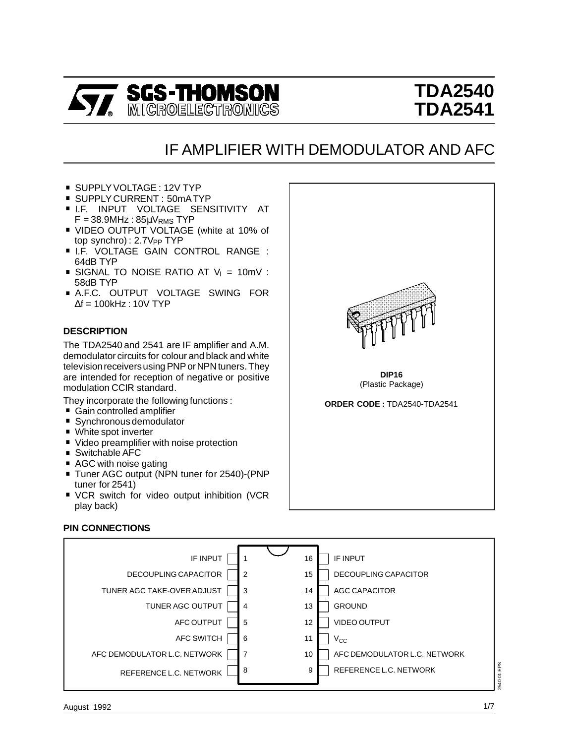

# **TDA2540 TDA2541**

## IF AMPLIFIER WITH DEMODULATOR AND AFC

- 
- 
- SUPPLY VOLTAGE : 12V TYP<br>■ SUPPLY CURRENT : 50mA TYP<br>■ I.F. INPUT VOLTAGE SENSITIVITY AT ■ I.F. INPUT VOLTAGE SENSITIVITY AT<br>F = 38.9MHz : 85µV<sub>RMS</sub> TYP<br>■ VIDEO OUTPUT VOLTAGE (white at 10% of
- VIDEO OUTPUT VOLTAGE (white at 10% of<br>top synchro): 2.7V<sub>PP</sub> TYP<br>■ I.F. VOLTAGE GAIN CONTROL RANGE :<br>64dB TYP
- 
- **SIGNAL TO NOISE RATIO AT**  $V_1 = 10$ **mV :**<br>58dB TYP
- **A.F.C. OUTPUT VOLTAGE SWING FOR**  $\Delta f = 100$ kHz : 10V TYP

## **DESCRIPTION**

The TDA2540 and 2541 are IF amplifier and A.M. demodulator circuits for colour and black and white television receivers using PNP or NPN tuners. They are intended for reception of negative or positive modulation CCIR standard.

They incorporate the following functions :

- 
- 
- 
- 
- 
- 
- . Gain controlled amplifier . Synchronous demodulator<br>
Gain controlled amplifier <br>
Synchronous demodulator<br>
White spot inverter<br>
Video preamplifier with noise protection<br>
Switchable AFC<br>
AGC with noise gatin ■ Tuner AGC output (NPN tuner for 2540)-(PNP<br>tuner for 2541)<br>■ VCR switch for video output inhibition (VCR
- play back)



(Plastic Package)

**ORDER CODE :** TDA2540-TDA2541

#### **PIN CONNECTIONS**

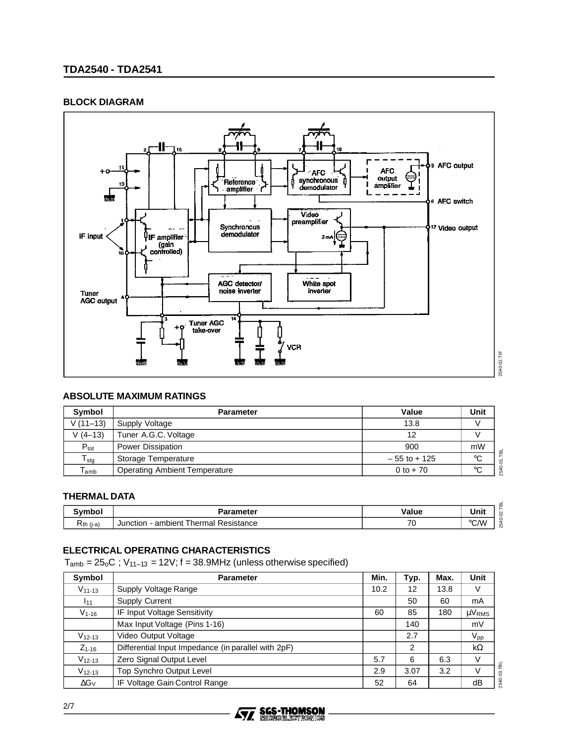## **TDA2540 - TDA2541**

#### **BLOCK DIAGRAM**



#### **ABSOLUTE MAXIMUM RATINGS**

| Symbol                      | <b>Parameter</b>                     | Value           | Unit |
|-----------------------------|--------------------------------------|-----------------|------|
| $V(11-13)$                  | Supply Voltage                       | 13.8            |      |
| $V(4-13)$                   | Tuner A.G.C. Voltage                 | 12              |      |
| $P_{\text{tot}}$            | Power Dissipation                    | 900             | mW   |
| ${\sf T}_{\sf stg}$         | Storage Temperature                  | $-55$ to $+125$ | °C   |
| $\mathsf{T}_{\mathsf{amb}}$ | <b>Operating Ambient Temperature</b> | 0 to $+70$      | °C   |

#### **THERMAL DATA**

| .              | aramatar<br>.                                    | احا<br>/alue<br>.        | m<br>Unit                 |
|----------------|--------------------------------------------------|--------------------------|---------------------------|
| -<br>≺th (i-a) | Ð<br>ambient<br>hermal<br>'esistance<br>Junction | $\overline{\phantom{a}}$ | $^{\circ}$ CM<br>ιò<br>اپ |

## **ELECTRICAL OPERATING CHARACTERISTICS**

 $T_{amb} = 25<sub>o</sub>C$ ;  $V_{11-13} = 12V$ ;  $f = 38.9$ MHz (unless otherwise specified)

| Symbol       | <b>Parameter</b>                                    | Min. | Typ. | Max. | Unit          |
|--------------|-----------------------------------------------------|------|------|------|---------------|
| $V_{11-13}$  | Supply Voltage Range                                | 10.2 | 12   | 13.8 | V             |
| 111          | <b>Supply Current</b>                               |      | 50   | 60   | mA            |
| $V_{1-16}$   | IF Input Voltage Sensitivity                        | 60   | 85   | 180  | $\mu V_{RMS}$ |
|              | Max Input Voltage (Pins 1-16)                       |      | 140  |      | mV            |
| $V_{12-13}$  | Video Output Voltage                                |      | 2.7  |      | $V_{\sf pp}$  |
| $Z_{1-16}$   | Differential Input Impedance (in parallel with 2pF) |      | 2    |      | $k\Omega$     |
| $V_{12-13}$  | Zero Signal Output Level                            | 5.7  | 6    | 6.3  | V             |
| $V_{12-13}$  | Top Synchro Output Level                            | 2.9  | 3.07 | 3.2  | V             |
| $\Delta G_V$ | IF Voltage Gain Control Range                       | 52   | 64   |      | dB            |

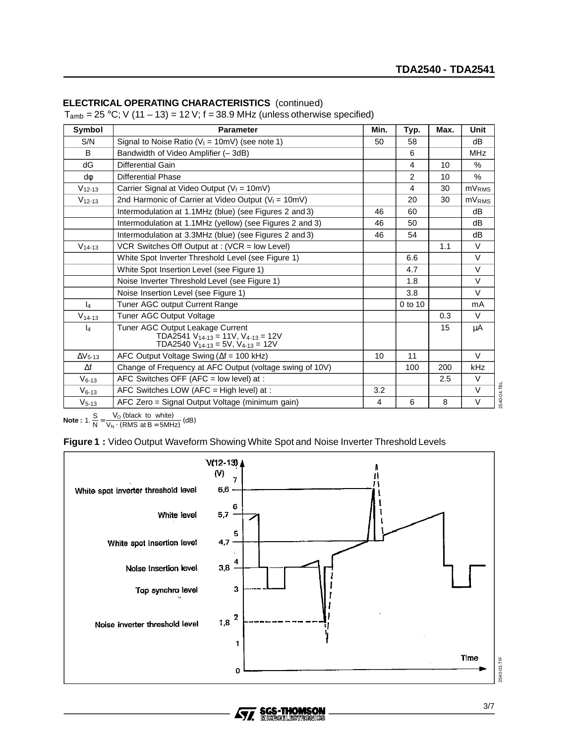## **ELECTRICAL OPERATING CHARACTERISTICS** (continued)

 $T_{amb} = 25 \degree C$ ; V (11 – 13) = 12 V; f = 38.9 MHz (unless otherwise specified)

| Symbol          | <b>Parameter</b>                                                                                                              | Min. | Typ.           | Max. | <b>Unit</b>              |
|-----------------|-------------------------------------------------------------------------------------------------------------------------------|------|----------------|------|--------------------------|
| S/N             | Signal to Noise Ratio ( $V_1 = 10$ mV) (see note 1)                                                                           | 50   | 58             |      | dB                       |
| B               | Bandwidth of Video Amplifier (-3dB)                                                                                           |      | 6              |      | <b>MHz</b>               |
| dG              | Differential Gain                                                                                                             |      | 4              | 10   | $\%$                     |
| dф              | <b>Differential Phase</b>                                                                                                     |      | $\overline{2}$ | 10   | $\%$                     |
| $V_{12-13}$     | Carrier Signal at Video Output ( $V_1 = 10$ mV)                                                                               |      | 4              | 30   | <b>mV</b> <sub>RMS</sub> |
| $V_{12-13}$     | 2nd Harmonic of Carrier at Video Output ( $V_1 = 10$ mV)                                                                      |      | 20             | 30   | mV <sub>RMS</sub>        |
|                 | Intermodulation at 1.1MHz (blue) (see Figures 2 and 3)                                                                        | 46   | 60             |      | dB                       |
|                 | Intermodulation at 1.1MHz (yellow) (see Figures 2 and 3)                                                                      | 46   | 50             |      | dB                       |
|                 | Intermodulation at 3.3MHz (blue) (see Figures 2 and 3)                                                                        | 46   | 54             |      | dB                       |
| $V_{14-13}$     | VCR Switches Off Output at: (VCR = low Level)                                                                                 |      |                | 1.1  | V                        |
|                 | White Spot Inverter Threshold Level (see Figure 1)                                                                            |      | 6.6            |      | V                        |
|                 | White Spot Insertion Level (see Figure 1)                                                                                     |      | 4.7            |      | V                        |
|                 | Noise Inverter Threshold Level (see Figure 1)                                                                                 |      | 1.8            |      | V                        |
|                 | Noise Insertion Level (see Figure 1)                                                                                          |      | 3.8            |      | V                        |
| $\mathsf{I}_4$  | Tuner AGC output Current Range                                                                                                |      | 0 to 10        |      | mA                       |
| $V_{14-13}$     | Tuner AGC Output Voltage                                                                                                      |      |                | 0.3  | $\vee$                   |
| $\mathsf{I}_4$  | Tuner AGC Output Leakage Current<br>TDA2541 $V_{14-13}$ = 11V, $V_{4-13}$ = 12V<br>TDA2540 $V_{14-13}$ = 5V, $V_{4-13}$ = 12V |      |                | 15   | μA                       |
| $\Delta V$ 5-13 | AFC Output Voltage Swing ( $\Delta f = 100$ kHz)                                                                              | 10   | 11             |      | $\vee$                   |
| $\Delta f$      | Change of Frequency at AFC Output (voltage swing of 10V)                                                                      |      | 100            | 200  | kHz                      |
| $V_{6-13}$      | AFC Switches OFF (AFC = low level) at :                                                                                       |      |                | 2.5  | V                        |
| $V_{6-13}$      | AFC Switches LOW (AFC = High level) at :                                                                                      | 3.2  |                |      | $\vee$                   |
| $V_{5-13}$      | AFC Zero = Signal Output Voltage (minimum gain)                                                                               | 4    | 6              | 8    | $\vee$                   |

**Note :**  $1. \frac{S}{N} = \frac{V_O \text{ (black to white)}}{V_N \cdot \text{(RMS at B = 5MHz)}} \text{ (dB)}$ 

**Figure 1 :** Video Output Waveform Showing White Spot and Noise Inverter Threshold Levels



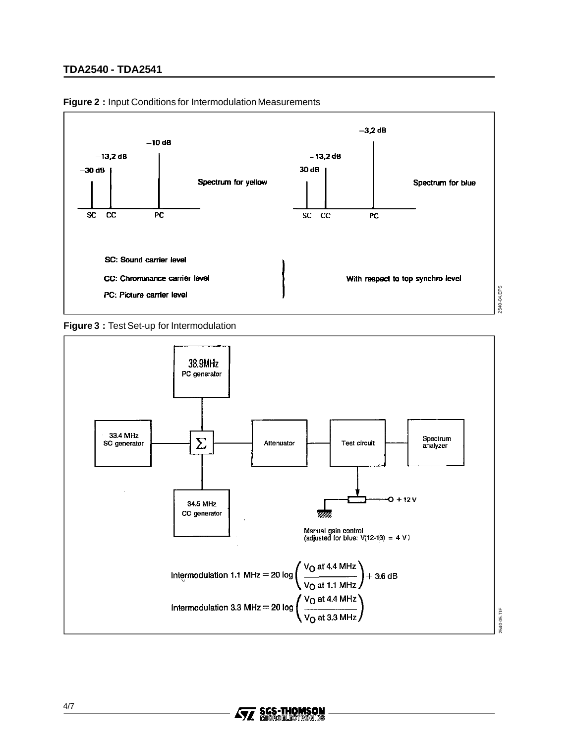## **TDA2540 - TDA2541**



**Figure 2 :** Input Conditions for Intermodulation Measurements



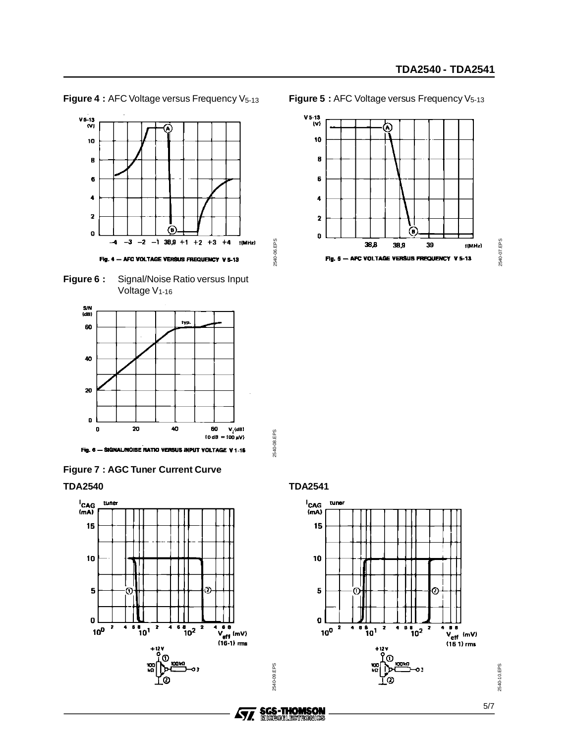









**TDA2540**



**Figure 5 : AFC Voltage versus Frequency V<sub>5-13</sub>** 







2540-06.EPS

2540-06.EPS

2540-08.EPS

2540-08.EPS

2540-09.EPS

**SGS-THOMSON<br>MIGROELEGTRONIGS** 

2540-09.EPS



5/7

2540-10.EPS

2540-10.EPS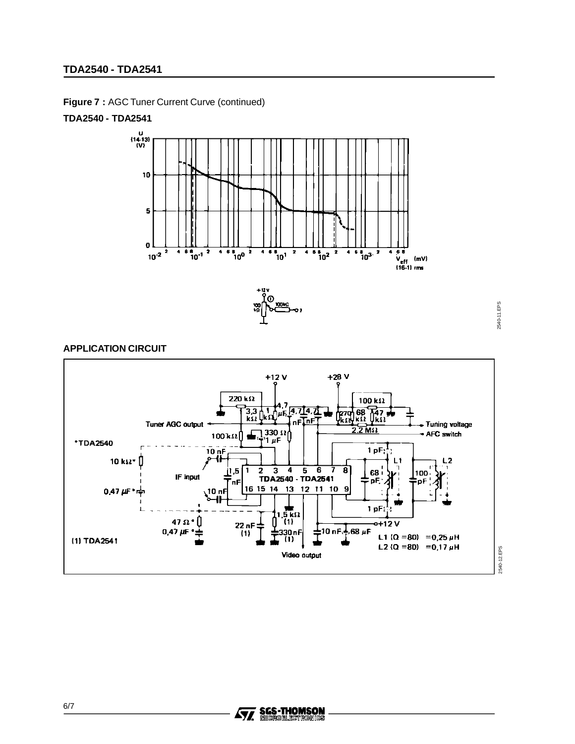## **TDA2540 - TDA2541**

**Figure 7 :** AGC Tuner Current Curve (continued)

#### **TDA2540 - TDA2541**



2540-11.EPS 2540-11.EPS

## **APPLICATION CIRCUIT**